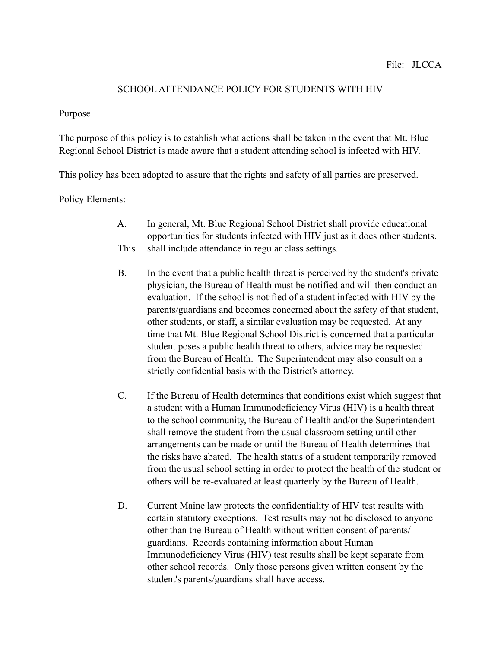## SCHOOL ATTENDANCE POLICY FOR STUDENTS WITH HIV

## Purpose

The purpose of this policy is to establish what actions shall be taken in the event that Mt. Blue Regional School District is made aware that a student attending school is infected with HIV.

This policy has been adopted to assure that the rights and safety of all parties are preserved.

## Policy Elements:

- A. In general, Mt. Blue Regional School District shall provide educational opportunities for students infected with HIV just as it does other students. This shall include attendance in regular class settings.
- B. In the event that a public health threat is perceived by the student's private physician, the Bureau of Health must be notified and will then conduct an evaluation. If the school is notified of a student infected with HIV by the parents/guardians and becomes concerned about the safety of that student, other students, or staff, a similar evaluation may be requested. At any time that Mt. Blue Regional School District is concerned that a particular student poses a public health threat to others, advice may be requested from the Bureau of Health. The Superintendent may also consult on a strictly confidential basis with the District's attorney.
- C. If the Bureau of Health determines that conditions exist which suggest that a student with a Human Immunodeficiency Virus (HIV) is a health threat to the school community, the Bureau of Health and/or the Superintendent shall remove the student from the usual classroom setting until other arrangements can be made or until the Bureau of Health determines that the risks have abated. The health status of a student temporarily removed from the usual school setting in order to protect the health of the student or others will be re-evaluated at least quarterly by the Bureau of Health.
- D. Current Maine law protects the confidentiality of HIV test results with certain statutory exceptions. Test results may not be disclosed to anyone other than the Bureau of Health without written consent of parents/ guardians. Records containing information about Human Immunodeficiency Virus (HIV) test results shall be kept separate from other school records. Only those persons given written consent by the student's parents/guardians shall have access.